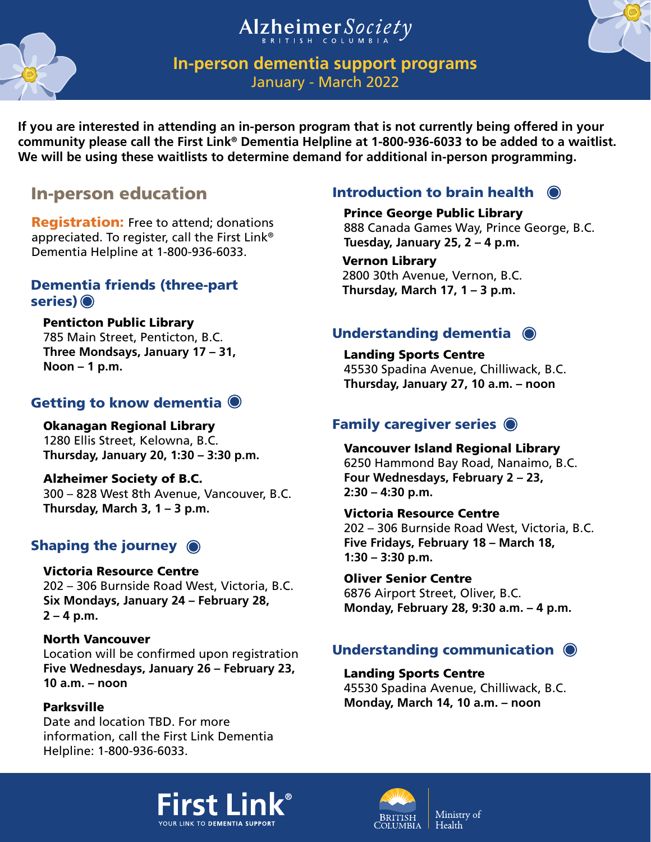# Alzheimer Society



# **In-person dementia support programs**

January - Mar

If you are interested in attending an in-person progra**y your brain health. Learn strategies and community please call the First Link® Dementia Helpline at 1-800-936. In the added to be added to a wait**list.

It's never too soon or too late to make changes that will maintain or improve

**George Public Library** Learn how dementia affects the brain  $\overline{C}$ . and behaviour as the disease progresses

Introduction to brain health

We will be using these waitlists to determine demand for additional in-person programming.

# In-person education

Dementia Helplin

Registration: **Fraution** Learn how you can build a community appreciated. To register, that is supportive of people  $\Gamma$ with dementia.

## Dementia friends (three-part series) <sup>o</sup>

Enhance your knowledge about dementia and learn about the different types of resources that are availa Learn how dementia affects the brain here the disease.

and learn about the different times of<br>
resources that are availa Learn how dementia affects the brain<br>
the disease. and behaviour as the disease progresses are chilling<br>
and about the impact it has on the impact it has on and behaviour as the disease progresses and about the impact it has on

ue, Chilliwack, B.C. **Thursday, January 27, 10 a.m. – noon**

### Okanagan Regional Library

1280 Ellis Street, Kelowna, B.C.

**Thurson**<br>**Learn about the brain and dementia,** strategies for coping with changes,  $\blacksquare$  maximizing quality of life and **Polanning for the future.** Okanagan Regional Library<br>
1280 Ellis Street, Kelowna, B.C.<br>
Learn about the brain and dementia,<br>
strategies for coping with changes,<br>
maximizing quality of life and<br>
planning for the future.<br>
Shaping the journey (Democrat

### Victoria Resource Centre

202 – 306 Burnside Road West, Victoria, B.C. **Six Mondays, January 24 – February 28, 2 – 4 p.m.**

### North Vancouver

Location will be confirmed upon registration **Five Wednesdays, January 26 – February 23, 10 a.m. – noon**

### Parksville

Date and location TBD. For more information, call the First Link Dementia Helpline: 1-800-936-6033.

and about the impact it has on individual, caregivers and families. **Thursday, March 17, 1 – 3 p.m.**

### Vancouver Island Regional Library

6250 Hammond Bay Road, Nanaimo, B.C. **Four Wednesdays, February 2 – 23, 2:30 – 4:30 p.m.**

### Victoria Resource Centre

202 – 306 Burnside Road West, Victoria, B.C. **Five Fridays, February 18 – March 18,**

**1:30 – 3:30 p.m.** We'll also explore common tips and strategies  $\frac{1}{2}$  communication and connect **Monday, February 28, 9:30 a.m. – 4 p.m.** Learn how dementia can affect communication. for communication and connecting.

# Understanding communication  $\bigcirc$

### Landing Sports Centre

45530 Spadina Avenue, Chilliwack, B.C. **Monday, March 14, 10 a.m. – noon**



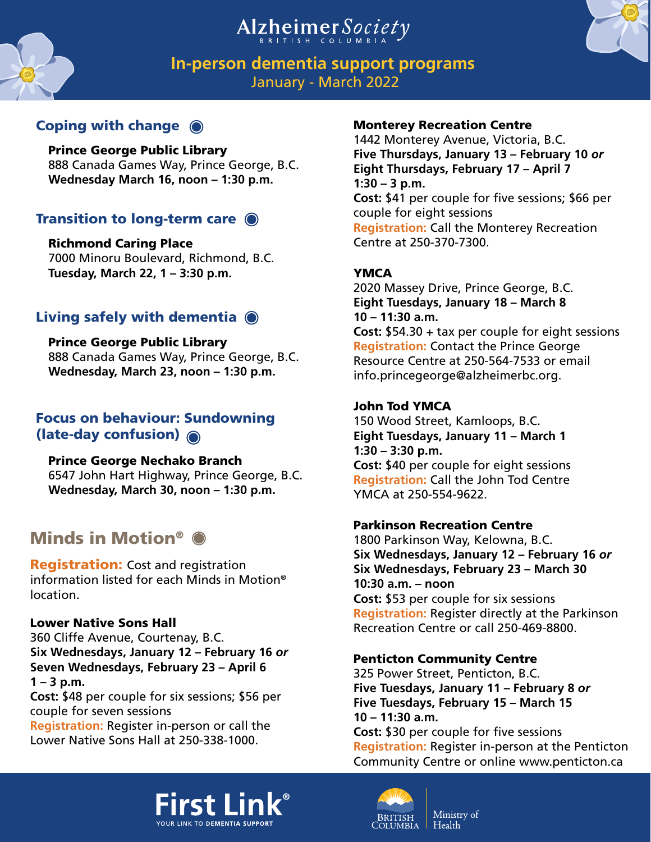# Alzheimer Society

strategies to help you and those around you [10] Ch 2022 The dementia experience involves change and loss and uncertainty. Join us to explore cope in the face of these changes.

# Coping with change

 $\frac{1}{2}$  Explore how people living with  $\frac{8}{3}$  dementia and their families can live  $\frac{3}{2}$ .C. **Wednesday in the community.** 

## Transition to long-term care

Richmond Caring **Richmond** 7000 Minoru B $\epsilon$ **Tuesday, March** 

tia and their families can live safely in<br>... Explore how people living with dementhe community.

## Living safely with dementia  $\bullet$

Prince George Public Library  $\frac{1}{8}$  Learn the signs of "sundowning" also known **Was late-day confusion caused by dementia and** explore strategies for responding.

# Focus on behaviour: Sundowning

- $(lat$ A fitness and social program for people living
	- **P** with any form of early-stage dementia along
	- 6<sup>1</sup> with a family member, friend or other care
	- **Wednesday, March 30, noon 1:30 p.m.** partner.

# Minds in Motion®

**Registration:** Cost and registration information listed for each Minds in Motion® location.

### Lower Native Sons Hall

360 Cliffe Avenue, Courtenay, B.C. **Six Wednesdays, January 12 – February 16** *or* **Seven Wednesdays, February 23 – April 6 1 – 3 p.m.**

**Cost:** \$48 per couple for six sessions; \$56 per couple for seven sessions

**Registration:** Register in-person or call the Lower Native Sons Hall at 250-338-1000.

# **In-person dementia support programs**

### Monterey Recreation Centre

1442 Monterey Avenue, Victoria, B.C. **Five Thursdays, January 13 – February 10** *or* **Eight Thursdays, February 17 – April 7 1:30 – 3 p.m. Cost:** \$41 per couple for five sessions; \$66 per couple for eight sessions **Registration:** Call the Monterey Recreation at 250-370-7300.

Aassey Drive, Prince George, B.C. **Eight Tuesdays, January 18 – March 8 10 – 11:30 a.m.**

**Cost:** \$54.30 + tax per couple for eight sessions **Registration:** Contact the Prince George Resource Centre at 250-564-7533 or email info.princegeorge@alzheimerbc.org.

### John Tod YMCA

150 Wood Street, Kamloops, B.C. **Eight Tuesdays, January 11 – March 1 1:30 – 3:30 p.m. Cost:** \$40 per couple for eight sessions **Registration:** Call the John Tod Centre YMCA at 250-554-9622.

### Parkinson Recreation Centre

1800 Parkinson Way, Kelowna, B.C. **Six Wednesdays, January 12 – February 16** *or* **Six Wednesdays, February 23 – March 30 10:30 a.m. – noon Cost:** \$53 per couple for six sessions **Registration:** Register directly at the Parkinson Recreation Centre or call 250-469-8800.

### Penticton Community Centre

325 Power Street, Penticton, B.C. **Five Tuesdays, January 11 – February 8** *or* **Five Tuesdays, February 15 – March 15 10 – 11:30 a.m.**

**Cost:** \$30 per couple for five sessions **Registration:** Register in-person at the Penticton Community Centre or online www.penticton.ca





Ministry of Health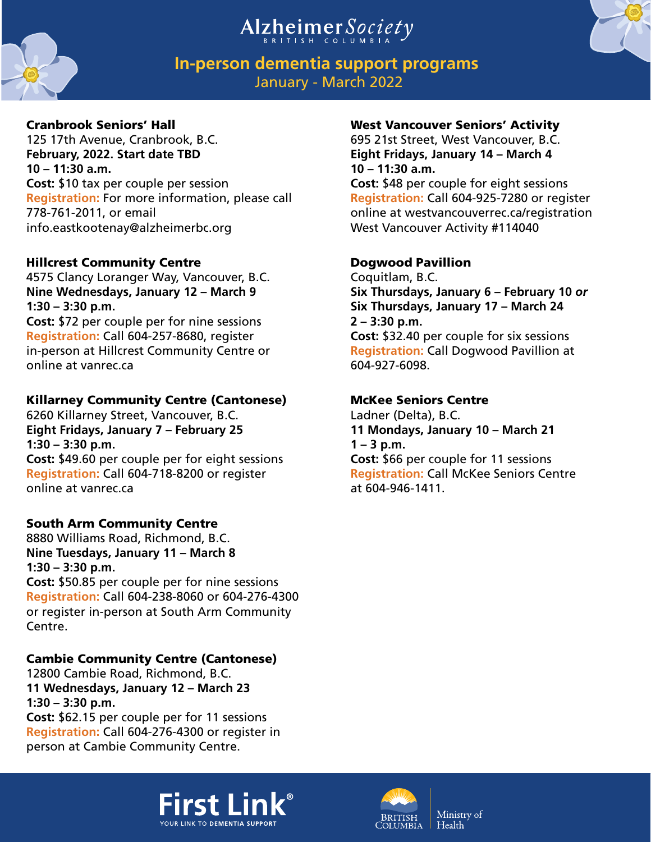



# **In-person dementia support programs** January - March 2022

### Cranbrook Seniors' Hall

125 17th Avenue, Cranbrook, B.C. **February, 2022. Start date TBD 10 – 11:30 a.m. Cost:** \$10 tax per couple per session **Registration:** For more information, please call 778-761-2011, or email info.eastkootenay@alzheimerbc.org

### Hillcrest Community Centre

4575 Clancy Loranger Way, Vancouver, B.C. **Nine Wednesdays, January 12 – March 9 1:30 – 3:30 p.m. Cost:** \$72 per couple per for nine sessions **Registration:** Call 604-257-8680, register

in-person at Hillcrest Community Centre or online at vanrec.ca

### Killarney Community Centre (Cantonese)

6260 Killarney Street, Vancouver, B.C. **Eight Fridays, January 7 – February 25 1:30 – 3:30 p.m. Cost:** \$49.60 per couple per for eight sessions **Registration:** Call 604-718-8200 or register online at vanrec.ca

## South Arm Community Centre

8880 Williams Road, Richmond, B.C. **Nine Tuesdays, January 11 – March 8 1:30 – 3:30 p.m. Cost:** \$50.85 per couple per for nine sessions **Registration:** Call 604-238-8060 or 604-276-4300 or register in-person at South Arm Community Centre.

### Cambie Community Centre (Cantonese)

12800 Cambie Road, Richmond, B.C. **11 Wednesdays, January 12 – March 23 1:30 – 3:30 p.m. Cost:** \$62.15 per couple per for 11 sessions **Registration:** Call 604-276-4300 or register in person at Cambie Community Centre.

### West Vancouver Seniors' Activity

695 21st Street, West Vancouver, B.C. **Eight Fridays, January 14 – March 4 10 – 11:30 a.m.**

**Cost:** \$48 per couple for eight sessions **Registration:** Call 604-925-7280 or register online at westvancouverrec.ca/registration West Vancouver Activity #114040

### Dogwood Pavillion

Coquitlam, B.C. **Six Thursdays, January 6 – February 10** *or* **Six Thursdays, January 17 – March 24 2 – 3:30 p.m. Cost:** \$32.40 per couple for six sessions **Registration:** Call Dogwood Pavillion at 604-927-6098.

### McKee Seniors Centre

Ladner (Delta), B.C. **11 Mondays, January 10 – March 21 1 – 3 p.m. Cost:** \$66 per couple for 11 sessions **Registration:** Call McKee Seniors Centre at 604-946-1411.



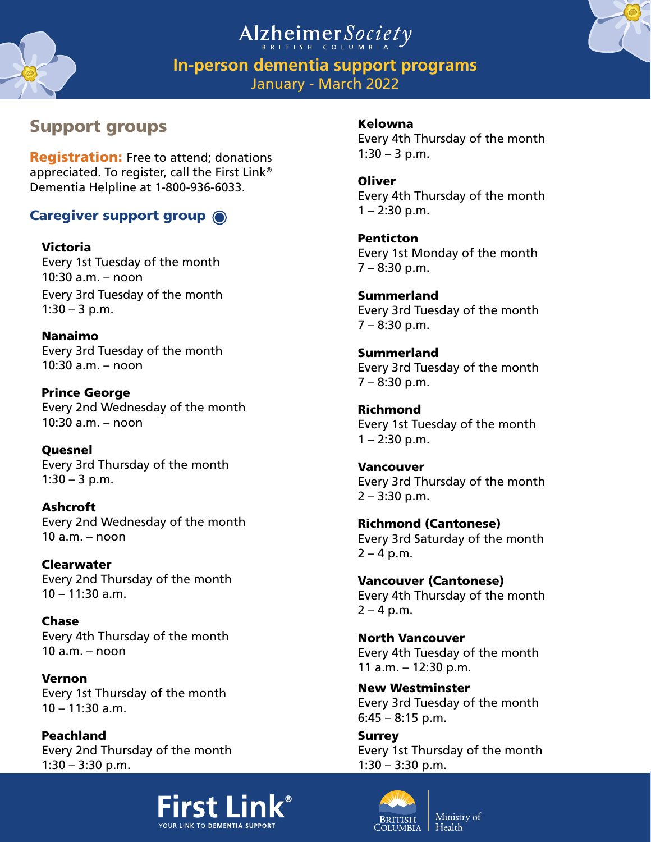



**In-person dementia support programs** January - March 2022

# Support groups

### Kelowna

Every 4th Thursday of the month  $1:30 - 3$  p.m.

**Registration:** Free to attend; donatic appreciated. To register, call the First L Dementia Helpline at 1-800-936-6033.

# Caregiver support group  $\odot$

Victoria Every 1st Tuesday of the month 10:30 a.m. – noon Every 3rd Tuesday of the month  $1:30 - 3$  p.m.

Nanaimo Every 3rd Tuesday of the month  $10:30$  a.m. – noon

Prince George Every 2nd Wednesday of the month 10:30 a.m. – noon

Quesnel Every 3rd Thursday of the month  $1:30 - 3$  p.m.

Ashcroft Every 2nd Wednesday of the month  $10$  a.m. – noon

Clearwater Every 2nd Thursday of the month 10 – 11:30 a.m.

Chase Every 4th Thursday of the month 10 a.m. – noon

Vernon Every 1st Thursday of the month  $10 - 11:30$  a.m.

Peachland Every 2nd Thursday of the month 1:30 – 3:30 p.m.



Open to caregivers who are living with dementia. currently caring for a person

day of the month

Penticton Every 1st Monday of the month 7 – 8:30 p.m.

Summerland Every 3rd Tuesday of the month  $7 - 8:30$  p.m.

**Summerland** Every 3rd Tuesday of the month 7 – 8:30 p.m.

Richmond Every 1st Tuesday of the month  $1 - 2:30$  p.m.

Vancouver Every 3rd Thursday of the month 2 – 3:30 p.m.

Richmond (Cantonese) Every 3rd Saturday of the month  $2 - 4 p.m.$ 

Vancouver (Cantonese) Every 4th Thursday of the month  $2 - 4 p.m.$ 

North Vancouver Every 4th Tuesday of the month 11 a.m. – 12:30 p.m.

New Westminster Every 3rd Tuesday of the month  $6:45 - 8:15$  p.m.

Surrey Every 1st Thursday of the month 1:30 – 3:30 p.m.